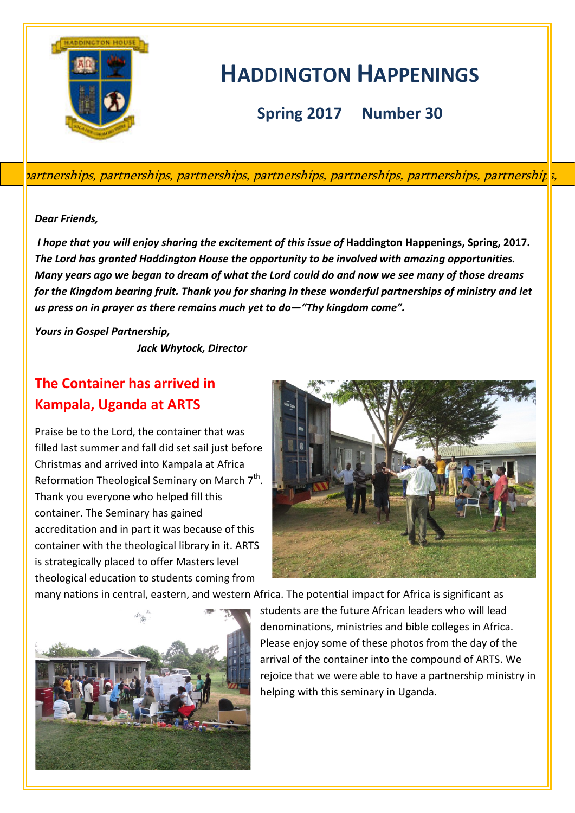

# **HADDINGTON HAPPENINGS**

**Spring 2017 Number 30**

partnerships, partnerships, partnerships, partnerships, partnerships, partnerships, partnerships,

#### *Dear Friends,*

*I hope that you will enjoy sharing the excitement of this issue of* **Haddington Happenings, Spring, 2017.** *The Lord has granted Haddington House the opportunity to be involved with amazing opportunities. Many years ago we began to dream of what the Lord could do and now we see many of those dreams for the Kingdom bearing fruit. Thank you for sharing in these wonderful partnerships of ministry and let us press on in prayer as there remains much yet to do—"Thy kingdom come".*

*Yours in Gospel Partnership,*

 *Jack Whytock, Director*

# **The Container has arrived in Kampala, Uganda at ARTS**

Praise be to the Lord, the container that was filled last summer and fall did set sail just before Christmas and arrived into Kampala at Africa Reformation Theological Seminary on March  $7<sup>th</sup>$ . Thank you everyone who helped fill this container. The Seminary has gained accreditation and in part it was because of this container with the theological library in it. ARTS is strategically placed to offer Masters level theological education to students coming from



many nations in central, eastern, and western Africa. The potential impact for Africa is significant as



students are the future African leaders who will lead denominations, ministries and bible colleges in Africa. Please enjoy some of these photos from the day of the arrival of the container into the compound of ARTS. We rejoice that we were able to have a partnership ministry in helping with this seminary in Uganda.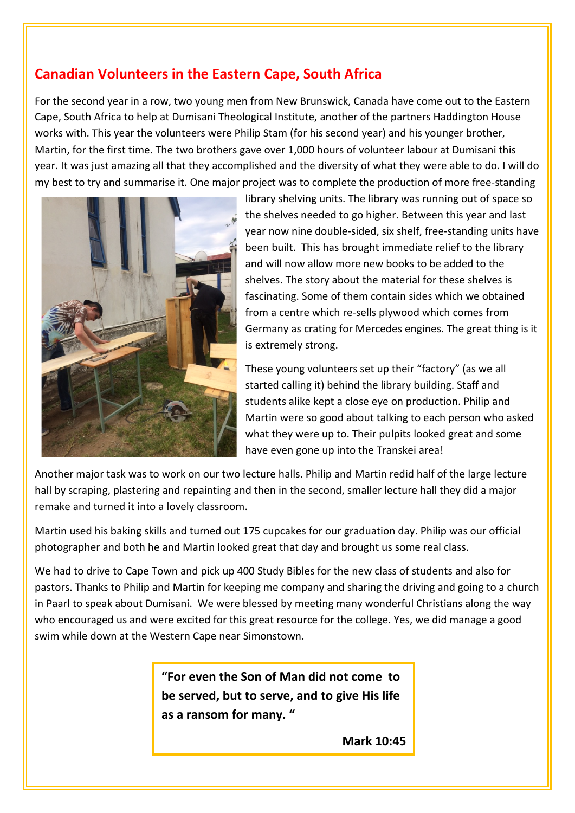## **Canadian Volunteers in the Eastern Cape, South Africa**

For the second year in a row, two young men from New Brunswick, Canada have come out to the Eastern Cape, South Africa to help at Dumisani Theological Institute, another of the partners Haddington House works with. This year the volunteers were Philip Stam (for his second year) and his younger brother, Martin, for the first time. The two brothers gave over 1,000 hours of volunteer labour at Dumisani this year. It was just amazing all that they accomplished and the diversity of what they were able to do. I will do my best to try and summarise it. One major project was to complete the production of more free-standing



library shelving units. The library was running out of space so the shelves needed to go higher. Between this year and last year now nine double-sided, six shelf, free-standing units have been built. This has brought immediate relief to the library and will now allow more new books to be added to the shelves. The story about the material for these shelves is fascinating. Some of them contain sides which we obtained from a centre which re-sells plywood which comes from Germany as crating for Mercedes engines. The great thing is it is extremely strong.

These young volunteers set up their "factory" (as we all started calling it) behind the library building. Staff and students alike kept a close eye on production. Philip and Martin were so good about talking to each person who asked what they were up to. Their pulpits looked great and some have even gone up into the Transkei area!

Another major task was to work on our two lecture halls. Philip and Martin redid half of the large lecture hall by scraping, plastering and repainting and then in the second, smaller lecture hall they did a major remake and turned it into a lovely classroom.

Martin used his baking skills and turned out 175 cupcakes for our graduation day. Philip was our official photographer and both he and Martin looked great that day and brought us some real class.

We had to drive to Cape Town and pick up 400 Study Bibles for the new class of students and also for pastors. Thanks to Philip and Martin for keeping me company and sharing the driving and going to a church in Paarl to speak about Dumisani. We were blessed by meeting many wonderful Christians along the way who encouraged us and were excited for this great resource for the college. Yes, we did manage a good swim while down at the Western Cape near Simonstown.

> **"For even the Son of Man did not come to be served, but to serve, and to give His life as a ransom for many. "**

> > **Mark 10:45**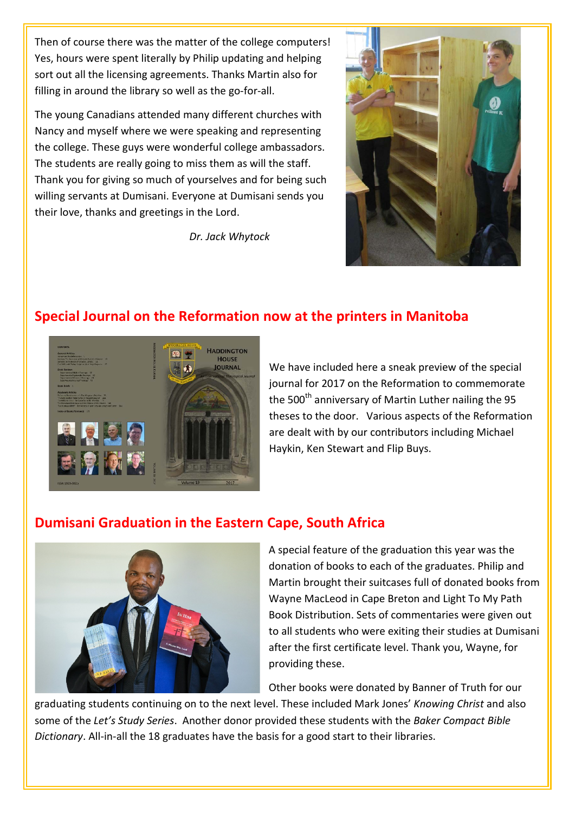Then of course there was the matter of the college computers! Yes, hours were spent literally by Philip updating and helping sort out all the licensing agreements. Thanks Martin also for filling in around the library so well as the go-for-all.

The young Canadians attended many different churches with Nancy and myself where we were speaking and representing the college. These guys were wonderful college ambassadors. The students are really going to miss them as will the staff. Thank you for giving so much of yourselves and for being such willing servants at Dumisani. Everyone at Dumisani sends you their love, thanks and greetings in the Lord.

*Dr. Jack Whytock*



#### **Special Journal on the Reformation now at the printers in Manitoba**



We have included here a sneak preview of the special journal for 2017 on the Reformation to commemorate the 500<sup>th</sup> anniversary of Martin Luther nailing the 95 theses to the door. Various aspects of the Reformation are dealt with by our contributors including Michael Haykin, Ken Stewart and Flip Buys.

#### **Dumisani Graduation in the Eastern Cape, South Africa**



A special feature of the graduation this year was the donation of books to each of the graduates. Philip and Martin brought their suitcases full of donated books from Wayne MacLeod in Cape Breton and Light To My Path Book Distribution. Sets of commentaries were given out to all students who were exiting their studies at Dumisani after the first certificate level. Thank you, Wayne, for providing these.

Other books were donated by Banner of Truth for our

graduating students continuing on to the next level. These included Mark Jones' *Knowing Christ* and also some of the *Let's Study Series*. Another donor provided these students with the *Baker Compact Bible Dictionary*. All-in-all the 18 graduates have the basis for a good start to their libraries.